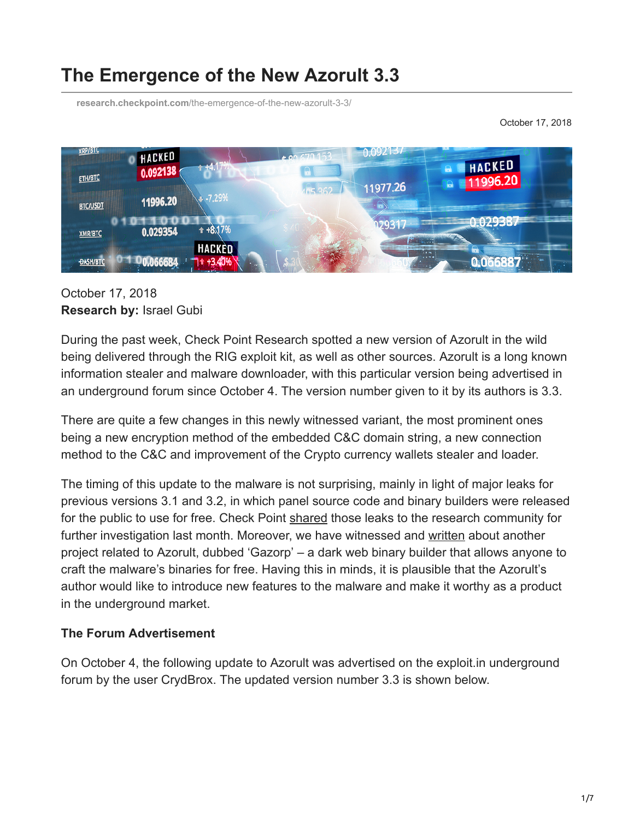# **The Emergence of the New Azorult 3.3**

**research.checkpoint.com**[/the-emergence-of-the-new-azorult-3-3/](https://research.checkpoint.com/the-emergence-of-the-new-azorult-3-3/)

October 17, 2018



## October 17, 2018 **Research by:** Israel Gubi

During the past week, Check Point Research spotted a new version of Azorult in the wild being delivered through the RIG exploit kit, as well as other sources. Azorult is a long known information stealer and malware downloader, with this particular version being advertised in an underground forum since October 4. The version number given to it by its authors is 3.3.

There are quite a few changes in this newly witnessed variant, the most prominent ones being a new encryption method of the embedded C&C domain string, a new connection method to the C&C and improvement of the Crypto currency wallets stealer and loader.

The timing of this update to the malware is not surprising, mainly in light of major leaks for previous versions 3.1 and 3.2, in which panel source code and binary builders were released for the public to use for free. Check Point [shared](https://twitter.com/_CPResearch_/status/1041687670567694336) those leaks to the research community for further investigation last month. Moreover, we have witnessed and [written](https://research.checkpoint.com/the-gazorp-dark-web-azorult-builder/) about another project related to Azorult, dubbed 'Gazorp' – a dark web binary builder that allows anyone to craft the malware's binaries for free. Having this in minds, it is plausible that the Azorult's author would like to introduce new features to the malware and make it worthy as a product in the underground market.

## **The Forum Advertisement**

On October 4, the following update to Azorult was advertised on the exploit.in underground forum by the user CrydBrox. The updated version number 3.3 is shown below.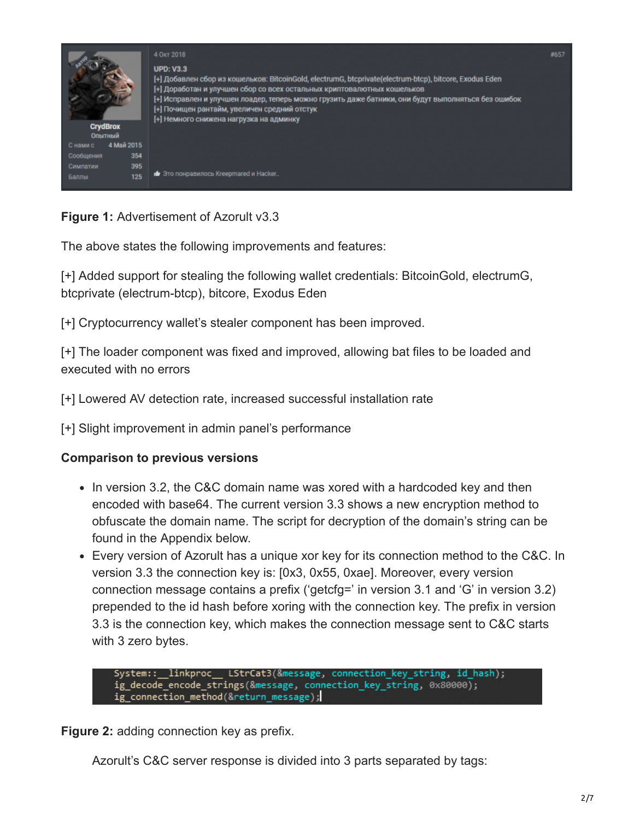

**Figure 1:** Advertisement of Azorult v3.3

The above states the following improvements and features:

[+] Added support for stealing the following wallet credentials: BitcoinGold, electrumG, btcprivate (electrum-btcp), bitcore, Exodus Eden

[+] Cryptocurrency wallet's stealer component has been improved.

[+] The loader component was fixed and improved, allowing bat files to be loaded and executed with no errors

[+] Lowered AV detection rate, increased successful installation rate

[+] Slight improvement in admin panel's performance

### **Comparison to previous versions**

- In version 3.2, the C&C domain name was xored with a hardcoded key and then encoded with base64. The current version 3.3 shows a new encryption method to obfuscate the domain name. The script for decryption of the domain's string can be found in the Appendix below.
- Every version of Azorult has a unique xor key for its connection method to the C&C. In version 3.3 the connection key is: [0x3, 0x55, 0xae]. Moreover, every version connection message contains a prefix ('getcfg=' in version 3.1 and 'G' in version 3.2) prepended to the id hash before xoring with the connection key. The prefix in version 3.3 is the connection key, which makes the connection message sent to C&C starts with 3 zero bytes.

System::\_\_linkproc\_\_ LStrCat3(&message, connection\_key\_string, id\_hash); ig decode encode strings (&message, connection key string, 0x80000); ig\_connection\_method(&return\_message);

**Figure 2:** adding connection key as prefix.

Azorult's C&C server response is divided into 3 parts separated by tags: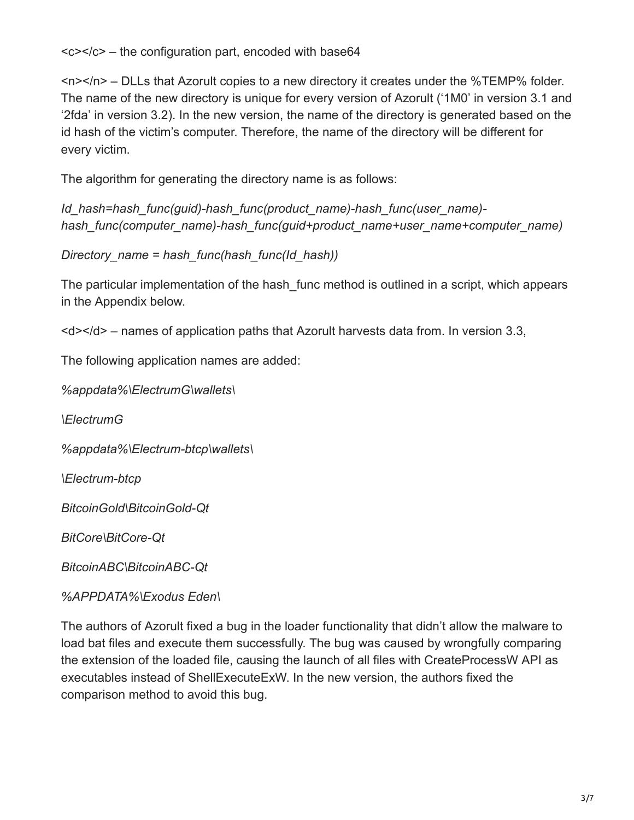<c></c> – the configuration part, encoded with base64

<n></n> – DLLs that Azorult copies to a new directory it creates under the %TEMP% folder. The name of the new directory is unique for every version of Azorult ('1M0' in version 3.1 and '2fda' in version 3.2). In the new version, the name of the directory is generated based on the id hash of the victim's computer. Therefore, the name of the directory will be different for every victim.

The algorithm for generating the directory name is as follows:

*Id\_hash=hash\_func(guid)-hash\_func(product\_name)-hash\_func(user\_name) hash\_func(computer\_name)-hash\_func(guid+product\_name+user\_name+computer\_name)*

*Directory\_name = hash\_func(hash\_func(Id\_hash))*

The particular implementation of the hash func method is outlined in a script, which appears in the Appendix below.

 $$  – names of application paths that Azorult harvests data from. In version 3.3,

The following application names are added:

*%appdata%\ElectrumG\wallets\*

*\ElectrumG*

*%appdata%\Electrum-btcp\wallets\*

*\Electrum-btcp*

*BitcoinGold\BitcoinGold-Qt*

*BitCore\BitCore-Qt*

*BitcoinABC\BitcoinABC-Qt*

*%APPDATA%\Exodus Eden\*

The authors of Azorult fixed a bug in the loader functionality that didn't allow the malware to load bat files and execute them successfully. The bug was caused by wrongfully comparing the extension of the loaded file, causing the launch of all files with CreateProcessW API as executables instead of ShellExecuteExW. In the new version, the authors fixed the comparison method to avoid this bug.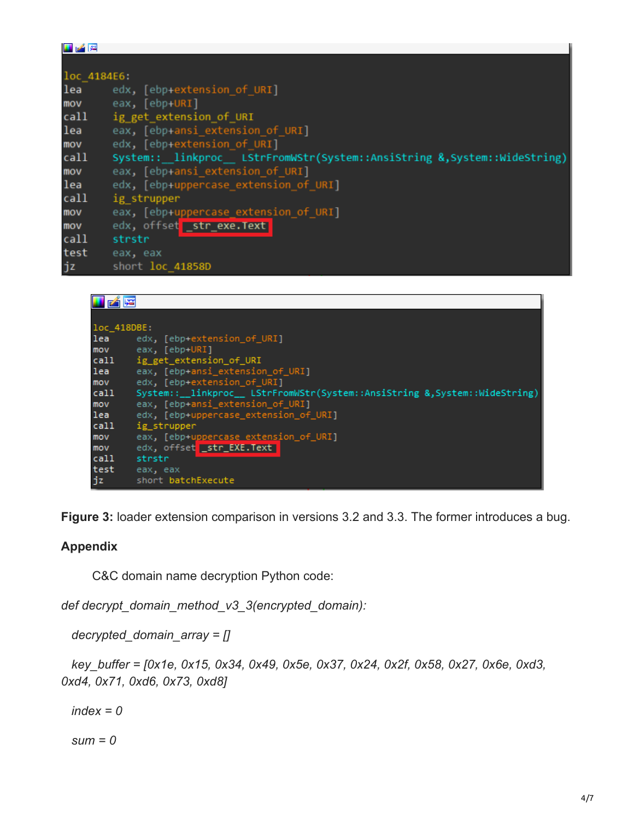| 国产牌         |                                                                          |
|-------------|--------------------------------------------------------------------------|
|             |                                                                          |
| loc_4184E6: |                                                                          |
| lea         | edx, [ebp+extension of URI]                                              |
| mov         | eax, [ebp+URI]                                                           |
| call        | ig_get_extension_of_URI                                                  |
| lea         | eax, [ebp+ansi extension of URI]                                         |
| mov         | edx, [ebp+extension of URI]                                              |
| call        | System:: linkproc LStrFromWStr(System::AnsiString &, System::WideString) |
| mov         | eax, [ebp+ansi_extension of URI]                                         |
| lea         | edx, [ebp+uppercase_extension of URI]                                    |
| call        | ig strupper                                                              |
| mov         | eax, [ebp+uppercase_extension of URI]                                    |
| mov         | edx, offset str_exe.Text                                                 |
| call        | strstr                                                                   |
| test        | eax, eax                                                                 |
| jz          | short loc 41858D                                                         |

| 階           |                                                                            |  |
|-------------|----------------------------------------------------------------------------|--|
|             |                                                                            |  |
| loc 418DBE: |                                                                            |  |
| lea         | edx, [ebp+extension_of_URI]                                                |  |
| mov         | eax, [ebp+URI]                                                             |  |
| call        | ig get extension of URI                                                    |  |
| lea         | eax, [ebp+ansi_extension_of URI]                                           |  |
| mov         | edx, [ebp+extension_of_URI]                                                |  |
| call        | System::__linkproc__ LStrFromWStr(System::AnsiString &,System::WideString) |  |
| mov         | eax, [ebp+ansi_extension_of_URI]                                           |  |
| lea         | edx, [ebp+uppercase extension of URI]                                      |  |
| call        | ig strupper                                                                |  |
| mov         | eax, [ebp+uppercase extension_of_URI]                                      |  |
| mov         | edx, offset str EXE.Text                                                   |  |
| call        | strstr                                                                     |  |
| test        | eax, eax                                                                   |  |
| jz          | short batchExecute                                                         |  |

**Figure 3:** loader extension comparison in versions 3.2 and 3.3. The former introduces a bug.

### **Appendix**

C&C domain name decryption Python code:

*def decrypt\_domain\_method\_v3\_3(encrypted\_domain):*

 *decrypted\_domain\_array = []*

 *key\_buffer = [0x1e, 0x15, 0x34, 0x49, 0x5e, 0x37, 0x24, 0x2f, 0x58, 0x27, 0x6e, 0xd3, 0xd4, 0x71, 0xd6, 0x73, 0xd8]*

 *index = 0*

 *sum = 0*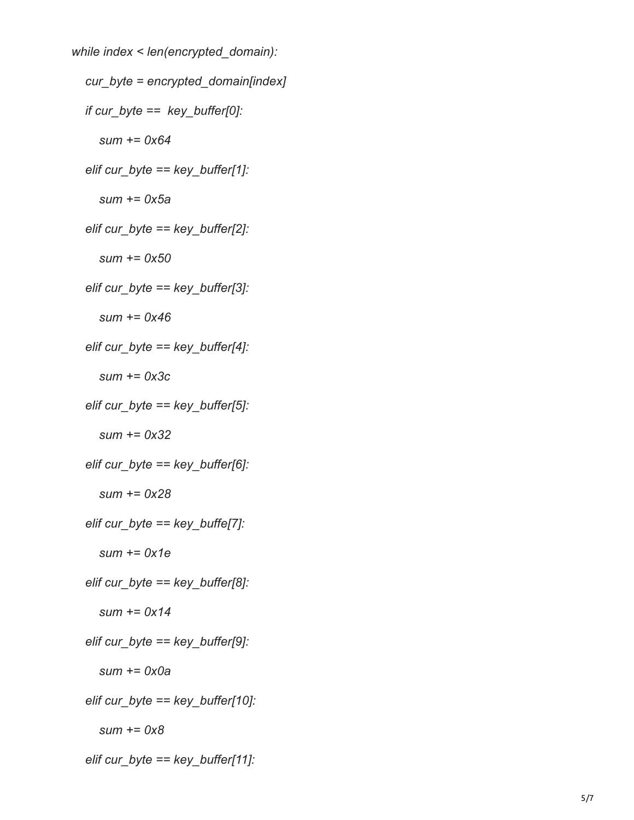```
 while index < len(encrypted_domain):
  cur_byte = encrypted_domain[index]
  if cur_byte == key_buffer[0]:
     sum += 0x64
  elif cur_byte == key_buffer[1]:
     sum += 0x5a
  elif cur_byte == key_buffer[2]:
     sum += 0x50
  elif cur_byte == key_buffer[3]:
     sum += 0x46
  elif cur_byte == key_buffer[4]:
     sum += 0x3c
  elif cur_byte == key_buffer[5]:
     sum += 0x32
  elif cur_byte == key_buffer[6]:
     sum += 0x28
  elif cur_byte == key_buffe[7]:
     sum += 0x1e
  elif cur_byte == key_buffer[8]:
     sum += 0x14
  elif cur_byte == key_buffer[9]:
     sum += 0x0a
  elif cur_byte == key_buffer[10]:
     sum += 0x8
  elif cur_byte == key_buffer[11]:
```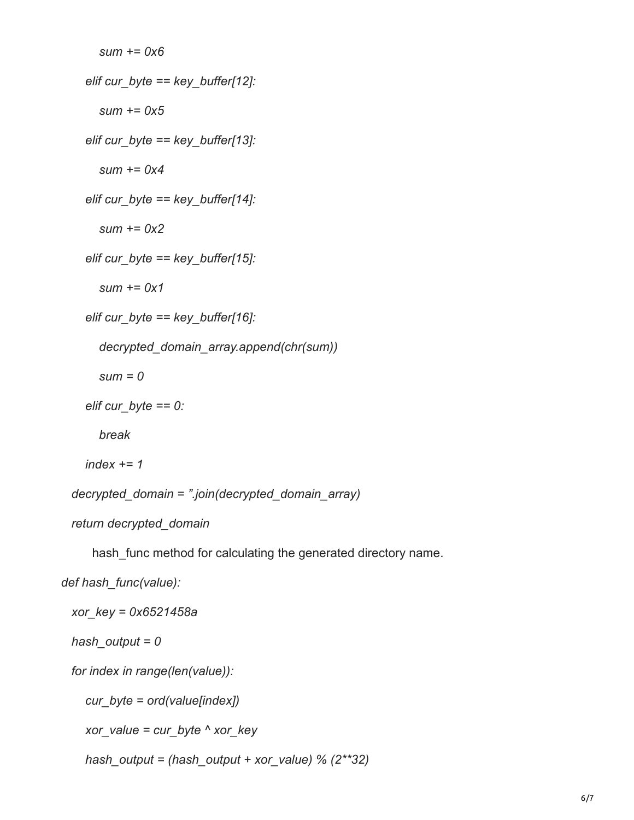```
 sum += 0x6
  elif cur_byte == key_buffer[12]:
     sum += 0x5
  elif cur_byte == key_buffer[13]:
     sum += 0x4
  elif cur_byte == key_buffer[14]:
     sum += 0x2
  elif cur_byte == key_buffer[15]:
     sum += 0x1
  elif cur_byte == key_buffer[16]:
     decrypted_domain_array.append(chr(sum))
     sum = 0
  elif cur_byte == 0:
     break
  index += 1
decrypted_domain = ".join(decrypted_domain_array)
return decrypted_domain
```
hash func method for calculating the generated directory name.

*def hash\_func(value):*

 *xor\_key = 0x6521458a*

 *hash\_output = 0*

 *for index in range(len(value)):*

 *cur\_byte = ord(value[index])*

 *xor\_value = cur\_byte ^ xor\_key*

 *hash\_output = (hash\_output + xor\_value) % (2\*\*32)*